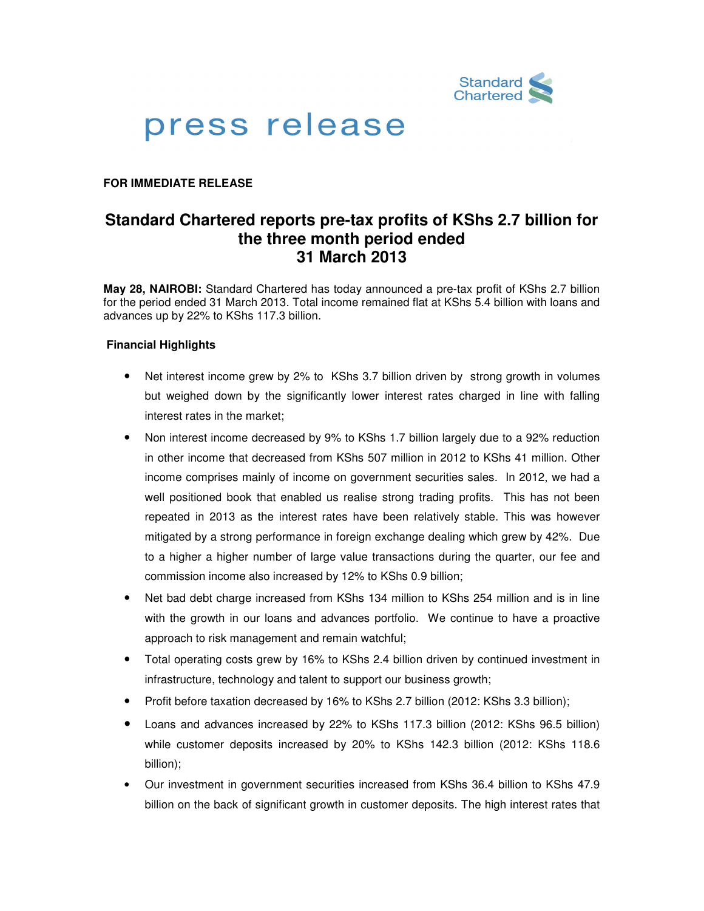

# press release

## **FOR IMMEDIATE RELEASE**

# **Standard Chartered reports pre-tax profits of KShs 2.7 billion for the three month period ended 31 March 2013**

**May 28, NAIROBI:** Standard Chartered has today announced a pre-tax profit of KShs 2.7 billion for the period ended 31 March 2013. Total income remained flat at KShs 5.4 billion with loans and advances up by 22% to KShs 117.3 billion.

### **Financial Highlights**

- Net interest income grew by 2% to KShs 3.7 billion driven by strong growth in volumes but weighed down by the significantly lower interest rates charged in line with falling interest rates in the market;
- Non interest income decreased by 9% to KShs 1.7 billion largely due to a 92% reduction in other income that decreased from KShs 507 million in 2012 to KShs 41 million. Other income comprises mainly of income on government securities sales. In 2012, we had a well positioned book that enabled us realise strong trading profits. This has not been repeated in 2013 as the interest rates have been relatively stable. This was however mitigated by a strong performance in foreign exchange dealing which grew by 42%. Due to a higher a higher number of large value transactions during the quarter, our fee and commission income also increased by 12% to KShs 0.9 billion;
- Net bad debt charge increased from KShs 134 million to KShs 254 million and is in line with the growth in our loans and advances portfolio. We continue to have a proactive approach to risk management and remain watchful;
- Total operating costs grew by 16% to KShs 2.4 billion driven by continued investment in infrastructure, technology and talent to support our business growth;
- Profit before taxation decreased by 16% to KShs 2.7 billion (2012: KShs 3.3 billion);
- Loans and advances increased by 22% to KShs 117.3 billion (2012: KShs 96.5 billion) while customer deposits increased by 20% to KShs 142.3 billion (2012: KShs 118.6 billion);
- Our investment in government securities increased from KShs 36.4 billion to KShs 47.9 billion on the back of significant growth in customer deposits. The high interest rates that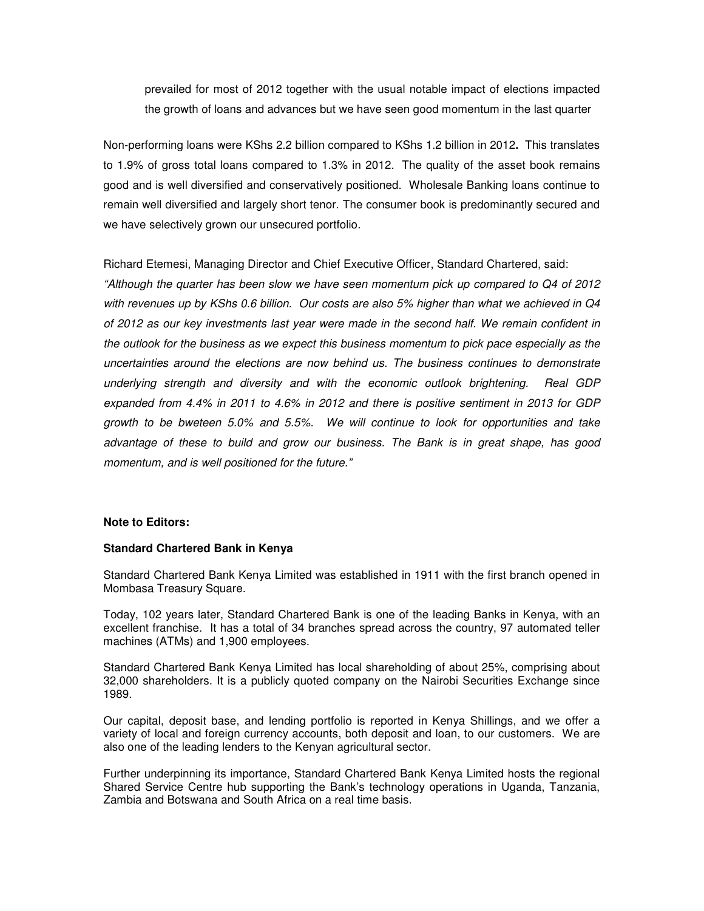prevailed for most of 2012 together with the usual notable impact of elections impacted the growth of loans and advances but we have seen good momentum in the last quarter

Non-performing loans were KShs 2.2 billion compared to KShs 1.2 billion in 2012**.** This translates to 1.9% of gross total loans compared to 1.3% in 2012. The quality of the asset book remains good and is well diversified and conservatively positioned. Wholesale Banking loans continue to remain well diversified and largely short tenor. The consumer book is predominantly secured and we have selectively grown our unsecured portfolio.

Richard Etemesi, Managing Director and Chief Executive Officer, Standard Chartered, said:

"Although the quarter has been slow we have seen momentum pick up compared to Q4 of 2012 with revenues up by KShs 0.6 billion. Our costs are also 5% higher than what we achieved in Q4 of 2012 as our key investments last year were made in the second half. We remain confident in the outlook for the business as we expect this business momentum to pick pace especially as the uncertainties around the elections are now behind us. The business continues to demonstrate underlying strength and diversity and with the economic outlook brightening. Real GDP expanded from 4.4% in 2011 to 4.6% in 2012 and there is positive sentiment in 2013 for GDP growth to be bweteen 5.0% and 5.5%. We will continue to look for opportunities and take advantage of these to build and grow our business. The Bank is in great shape, has good momentum, and is well positioned for the future."

#### **Note to Editors:**

#### **Standard Chartered Bank in Kenya**

Standard Chartered Bank Kenya Limited was established in 1911 with the first branch opened in Mombasa Treasury Square.

Today, 102 years later, Standard Chartered Bank is one of the leading Banks in Kenya, with an excellent franchise. It has a total of 34 branches spread across the country, 97 automated teller machines (ATMs) and 1,900 employees.

Standard Chartered Bank Kenya Limited has local shareholding of about 25%, comprising about 32,000 shareholders. It is a publicly quoted company on the Nairobi Securities Exchange since 1989.

Our capital, deposit base, and lending portfolio is reported in Kenya Shillings, and we offer a variety of local and foreign currency accounts, both deposit and loan, to our customers. We are also one of the leading lenders to the Kenyan agricultural sector.

Further underpinning its importance, Standard Chartered Bank Kenya Limited hosts the regional Shared Service Centre hub supporting the Bank's technology operations in Uganda, Tanzania, Zambia and Botswana and South Africa on a real time basis.